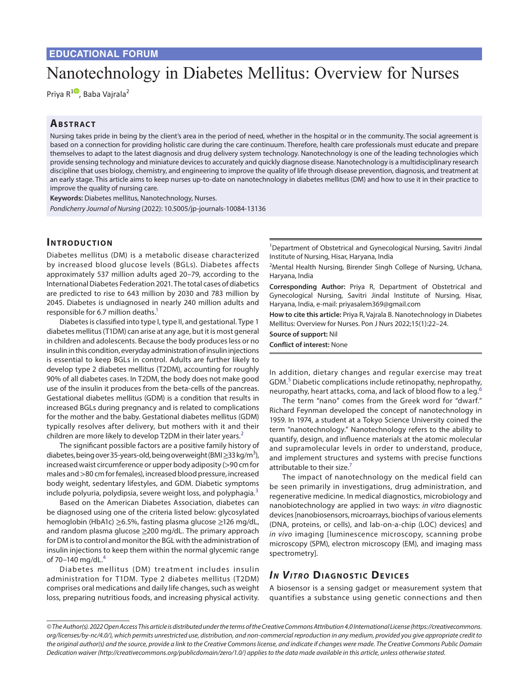# Nanotechnology in Diabetes Mellitus: Overview for Nurses

Priya R<sup>[1](https://orcid.org/0000-0002-0341-8192)0</sup>, Baba Vajrala<sup>2</sup>

## **ABSTRACT**

Nursing takes pride in being by the client's area in the period of need, whether in the hospital or in the community. The social agreement is based on a connection for providing holistic care during the care continuum. Therefore, health care professionals must educate and prepare themselves to adapt to the latest diagnosis and drug delivery system technology. Nanotechnology is one of the leading technologies which provide sensing technology and miniature devices to accurately and quickly diagnose disease. Nanotechnology is a multidisciplinary research discipline that uses biology, chemistry, and engineering to improve the quality of life through disease prevention, diagnosis, and treatment at an early stage. This article aims to keep nurses up-to-date on nanotechnology in diabetes mellitus (DM) and how to use it in their practice to improve the quality of nursing care.

**Keywords:** Diabetes mellitus, Nanotechnology, Nurses. *Pondicherry Journal of Nursing* (2022): 10.5005/jp-journals-10084-13136

# **INTRODUCTION**

Diabetes mellitus (DM) is a metabolic disease characterized by increased blood glucose levels (BGLs). Diabetes affects approximately 537 million adults aged 20–79, according to the International Diabetes Federation 2021. The total cases of diabetics are predicted to rise to 643 million by 2030 and 783 million by 2045. Diabetes is undiagnosed in nearly 240 million adults and responsible for 6.7 million deaths.<sup>1</sup>

Diabetes is classified into type I, type II, and gestational. Type 1 diabetes mellitus (T1DM) can arise at any age, but it is most general in children and adolescents. Because the body produces less or no insulin in this condition, everyday administration of insulin injections is essential to keep BGLs in control. Adults are further likely to develop type 2 diabetes mellitus (T2DM), accounting for roughly 90% of all diabetes cases. In T2DM, the body does not make good use of the insulin it produces from the beta-cells of the pancreas. Gestational diabetes mellitus (GDM) is a condition that results in increased BGLs during pregnancy and is related to complications for the mother and the baby. Gestational diabetes mellitus (GDM) typically resolves after delivery, but mothers with it and their children are more likely to develop T[2](#page-2-1)DM in their later years.<sup>2</sup>

The significant possible factors are a positive family history of diabetes, being over 35-years-old, being overweight (BMI $\geq$ 33 kg/m<sup>3</sup>), increased waist circumference or upper body adiposity (>90 cm for males and >80 cm for females), increased blood pressure, increased body weight, sedentary lifestyles, and GDM. Diabetic symptoms include polyuria, polydipsia, severe weight loss, and polyphagia.<sup>[3](#page-2-2)</sup>

Based on the American Diabetes Association, diabetes can be diagnosed using one of the criteria listed below: glycosylated hemoglobin (HbA1c) ≥6.5%, fasting plasma glucose ≥126 mg/dL, and random plasma glucose ≥200 mg/dL. The primary approach for DM is to control and monitor the BGL with the administration of insulin injections to keep them within the normal glycemic range of 70–1[4](#page-2-3)0 mg/dL. $4$ 

Diabetes mellitus (DM) treatment includes insulin administration for T1DM. Type 2 diabetes mellitus (T2DM) comprises oral medications and daily life changes, such as weight loss, preparing nutritious foods, and increasing physical activity.

<sup>1</sup>Department of Obstetrical and Gynecological Nursing, Savitri Jindal Institute of Nursing, Hisar, Haryana, India

<sup>2</sup> Mental Health Nursing, Birender Singh College of Nursing, Uchana, Haryana, India

**Corresponding Author:** Priya R, Department of Obstetrical and Gynecological Nursing, Savitri Jindal Institute of Nursing, Hisar, Haryana, India, e-mail: priyasalem369@gmail.com

**How to cite this article:** Priya R, Vajrala B. Nanotechnology in Diabetes Mellitus: Overview for Nurses. Pon J Nurs 2022;15(1):22–24.

**Source of support:** Nil **Conflict of interest:** None

In addition, dietary changes and regular exercise may treat GDM.<sup>[5](#page-2-4)</sup> Diabetic complications include retinopathy, nephropathy, neuropathy, heart attacks, coma, and lack of blood flow to a leg.<sup>[6](#page-2-5)</sup>

The term "nano" comes from the Greek word for "dwarf." Richard Feynman developed the concept of nanotechnology in 1959. In 1974, a student at a Tokyo Science University coined the term "nanotechnology." Nanotechnology refers to the ability to quantify, design, and influence materials at the atomic molecular and supramolecular levels in order to understand, produce, and implement structures and systems with precise functions attributable to their size. $<sup>7</sup>$ </sup>

The impact of nanotechnology on the medical field can be seen primarily in investigations, drug administration, and regenerative medicine. In medical diagnostics, microbiology and nanobiotechnology are applied in two ways: *in vitro* diagnostic devices [nanobiosensors, microarrays, biochips of various elements (DNA, proteins, or cells), and lab-on-a-chip (LOC) devices] and *in vivo* imaging [luminescence microscopy, scanning probe microscopy (SPM), electron microscopy (EM), and imaging mass spectrometry].

# **IN VITRO DIAGNOSTIC DEVICES**

A biosensor is a sensing gadget or measurement system that quantifies a substance using genetic connections and then

*<sup>©</sup> The Author(s). 2022 Open Access This article is distributed under the terms of the Creative Commons Attribution 4.0 International License ([https://creativecommons.](https://creativecommons.org/licenses/by-nc/4.0/) [org/licenses/by-nc/4.0/](https://creativecommons.org/licenses/by-nc/4.0/)), which permits unrestricted use, distribution, and non-commercial reproduction in any medium, provided you give appropriate credit to the original author(s) and the source, provide a link to the Creative Commons license, and indicate if changes were made. The Creative Commons Public Domain Dedication waiver ([http://creativecommons.org/publicdomain/zero/1.0/\)](http://creativecommons.org/publicdomain/zero/1.0/) applies to the data made available in this article, unless otherwise stated.*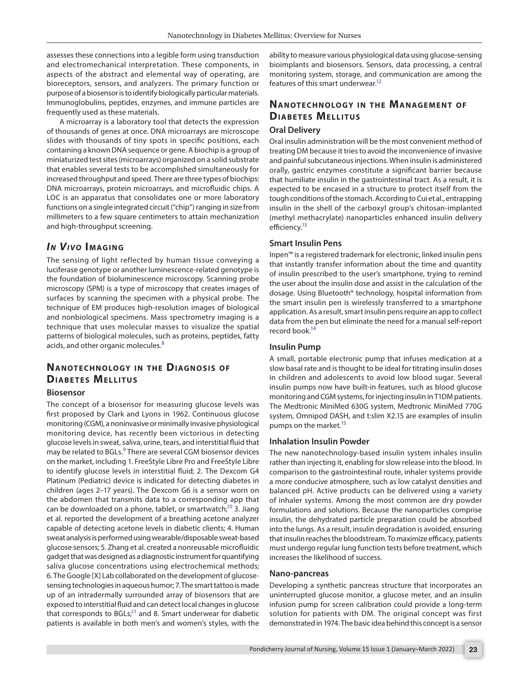assesses these connections into a legible form using transduction and electromechanical interpretation. These components, in aspects of the abstract and elemental way of operating, are bioreceptors, sensors, and analyzers. The primary function or purpose of a biosensor is to identify biologically particular materials. Immunoglobulins, peptides, enzymes, and immune particles are frequently used as these materials.

A microarray is a laboratory tool that detects the expression of thousands of genes at once. DNA microarrays are microscope slides with thousands of tiny spots in specific positions, each containing a known DNA sequence or gene. A biochip is a group of miniaturized test sites (microarrays) organized on a solid substrate that enables several tests to be accomplished simultaneously for increased throughput and speed. There are three types of biochips: DNA microarrays, protein microarrays, and microfluidic chips. A LOC is an apparatus that consolidates one or more laboratory functions on a single integrated circuit ("chip") ranging in size from millimeters to a few square centimeters to attain mechanization and high-throughput screening.

## *In Vivo* **Imagin g**

The sensing of light reflected by human tissue conveying a luciferase genotype or another luminescence-related genotype is the foundation of bioluminescence microscopy. Scanning probe microscopy (SPM) is a type of microscopy that creates images of surfaces by scanning the specimen with a physical probe. The technique of EM produces high-resolution images of biological and nonbiological specimens. Mass spectrometry imaging is a technique that uses molecular masses to visualize the spatial patterns of biological molecules, such as proteins, peptides, fatty acids, and other organic molecules.<sup>[8](#page-2-7)</sup>

# **NANOTECHNOLOGY IN THE DIAGNOSIS OF DIABETES MELLITUS**

#### **Biosensor**

The concept of a biosensor for measuring glucose levels was first proposed by Clark and Lyons in 1962. Continuous glucose monitoring (CGM), a noninvasive or minimally invasive physiological monitoring device, has recently been victorious in detecting glucose levels in sweat, saliva, urine, tears, and interstitial fluid that may be related to BGLs.<sup>9</sup> There are several CGM biosensor devices on the market, including 1. FreeStyle Libre Pro and FreeStyle Libre to identify glucose levels in interstitial fluid; 2. The Dexcom G4 Platinum (Pediatric) device is indicated for detecting diabetes in children (ages 2–17 years). The Dexcom G6 is a sensor worn on the abdomen that transmits data to a corresponding app that can be downloaded on a phone, tablet, or smartwatch; $10$  3. Jiang et al. reported the development of a breathing acetone analyzer capable of detecting acetone levels in diabetic clients; 4. Human sweat analysis is performed using wearable/disposable sweat-based glucose sensors; 5. Zhang et al. created a nonreusable microfluidic gadget that was designed as a diagnostic instrument for quantifying saliva glucose concentrations using electrochemical methods; 6. The Google [X] Lab collaborated on the development of glucosesensing technologies in aqueous humor; 7. The smart tattoo is made up of an intradermally surrounded array of biosensors that are exposed to interstitial fluid and can detect local changes in glucose that corresponds to BGLs; $^{11}$  and 8. Smart underwear for diabetic patients is available in both men's and women's styles, with the

ability to measure various physiological data using glucose-sensing bioimplants and biosensors. Sensors, data processing, a central monitoring system, storage, and communication are among the features of this smart underwear.<sup>12</sup>

# **NANOTECHNOLOGY IN THE MANAGEMENT OF DIABETES MELLITUS**

## **Oral Delivery**

Oral insulin administration will be the most convenient method of treating DM because it tries to avoid the inconvenience of invasive and painful subcutaneous injections. When insulin is administered orally, gastric enzymes constitute a significant barrier because that humiliate insulin in the gastrointestinal tract. As a result, it is expected to be encased in a structure to protect itself from the tough conditions of the stomach. According to Cui et al., entrapping insulin in the shell of the carboxyl group's chitosan-implanted (methyl methacrylate) nanoparticles enhanced insulin delivery efficiency.<sup>13</sup>

#### **Smart Insulin Pens**

Inpen™ is a registered trademark for electronic, linked insulin pens that instantly transfer information about the time and quantity of insulin prescribed to the user's smartphone, trying to remind the user about the insulin dose and assist in the calculation of the dosage. Using Bluetooth® technology, hospital information from the smart insulin pen is wirelessly transferred to a smartphone application. As a result, smart insulin pens require an app to collect data from the pen but eliminate the need for a manual self-report record book.<sup>14</sup>

#### **Insulin Pump**

A small, portable electronic pump that infuses medication at a slow basal rate and is thought to be ideal for titrating insulin doses in children and adolescents to avoid low blood sugar. Several insulin pumps now have built-in features, such as blood glucose monitoring and CGM systems, for injecting insulin in T1DM patients. The Medtronic MiniMed 630G system, Medtronic MiniMed 770G system, Omnipod DASH, and t:slim X2.15 are examples of insulin pumps on the market.<sup>15</sup>

#### **Inhalation Insulin Powder**

The new nanotechnology-based insulin system inhales insulin rather than injecting it, enabling for slow release into the blood. In comparison to the gastrointestinal route, inhaler systems provide a more conducive atmosphere, such as low catalyst densities and balanced pH. Active products can be delivered using a variety of inhaler systems. Among the most common are dry powder formulations and solutions. Because the nanoparticles comprise insulin, the dehydrated particle preparation could be absorbed into the lungs. As a result, insulin degradation is avoided, ensuring that insulin reaches the bloodstream. To maximize efficacy, patients must undergo regular lung function tests before treatment, which increases the likelihood of success.

#### **Nano-pancreas**

Developing a synthetic pancreas structure that incorporates an uninterrupted glucose monitor, a glucose meter, and an insulin infusion pump for screen calibration could provide a long-term solution for patients with DM. The original concept was first demonstrated in 1974. The basic idea behind this concept is a sensor